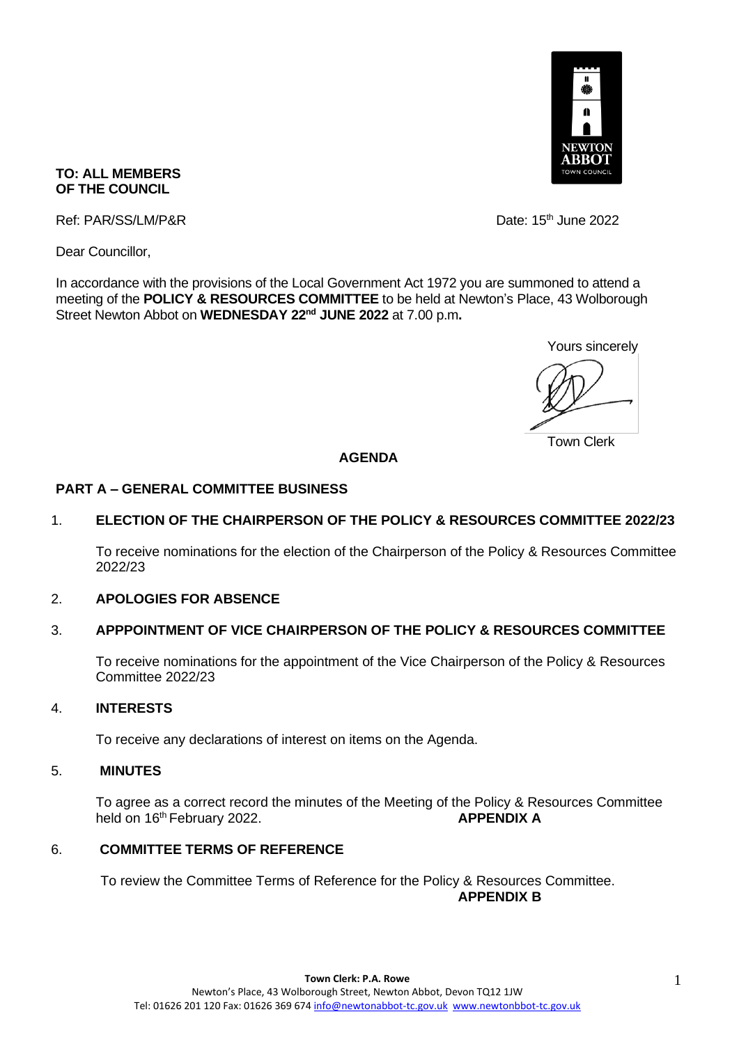

### **TO: ALL MEMBERS OF THE COUNCIL**

Ref: PAR/SS/LM/P&R Date: 15<sup>th</sup> June 2022

Dear Councillor,

In accordance with the provisions of the Local Government Act 1972 you are summoned to attend a meeting of the **POLICY & RESOURCES COMMITTEE** to be held at Newton's Place, 43 Wolborough Street Newton Abbot on **WEDNESDAY 22nd JUNE 2022** at 7.00 p.m**.** 

Yours sincerely

Town Clerk

#### **AGENDA**

#### **PART A – GENERAL COMMITTEE BUSINESS**

## 1. **ELECTION OF THE CHAIRPERSON OF THE POLICY & RESOURCES COMMITTEE 2022/23**

To receive nominations for the election of the Chairperson of the Policy & Resources Committee 2022/23

### 2. **APOLOGIES FOR ABSENCE**

### 3. **APPPOINTMENT OF VICE CHAIRPERSON OF THE POLICY & RESOURCES COMMITTEE**

To receive nominations for the appointment of the Vice Chairperson of the Policy & Resources Committee 2022/23

### 4. **INTERESTS**

To receive any declarations of interest on items on the Agenda.

### 5. **MINUTES**

To agree as a correct record the minutes of the Meeting of the Policy & Resources Committee held on 16<sup>th</sup> February 2022. **APPENDIX A** 

## 6. **COMMITTEE TERMS OF REFERENCE**

To review the Committee Terms of Reference for the Policy & Resources Committee. **APPENDIX B**